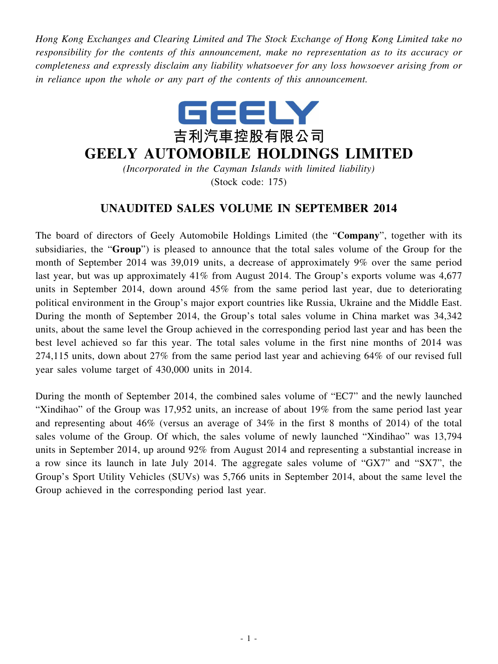*Hong Kong Exchanges and Clearing Limited and The Stock Exchange of Hong Kong Limited take no responsibility for the contents of this announcement, make no representation as to its accuracy or completeness and expressly disclaim any liability whatsoever for any loss howsoever arising from or in reliance upon the whole or any part of the contents of this announcement.*



## **GEELY AUTOMOBILE HOLDINGS LIMITED**

*(Incorporated in the Cayman Islands with limited liability)* (Stock code: 175)

## **UNAUDITED SALES VOLUME IN SEPTEMBER 2014**

The board of directors of Geely Automobile Holdings Limited (the "**Company**", together with its subsidiaries, the "**Group**") is pleased to announce that the total sales volume of the Group for the month of September 2014 was 39,019 units, a decrease of approximately 9% over the same period last year, but was up approximately 41% from August 2014. The Group's exports volume was 4,677 units in September 2014, down around 45% from the same period last year, due to deteriorating political environment in the Group's major export countries like Russia, Ukraine and the Middle East. During the month of September 2014, the Group's total sales volume in China market was 34,342 units, about the same level the Group achieved in the corresponding period last year and has been the best level achieved so far this year. The total sales volume in the first nine months of 2014 was 274,115 units, down about 27% from the same period last year and achieving 64% of our revised full year sales volume target of 430,000 units in 2014.

During the month of September 2014, the combined sales volume of "EC7" and the newly launched "Xindihao" of the Group was 17,952 units, an increase of about 19% from the same period last year and representing about 46% (versus an average of 34% in the first 8 months of 2014) of the total sales volume of the Group. Of which, the sales volume of newly launched "Xindihao" was 13,794 units in September 2014, up around 92% from August 2014 and representing a substantial increase in a row since its launch in late July 2014. The aggregate sales volume of "GX7" and "SX7", the Group's Sport Utility Vehicles (SUVs) was 5,766 units in September 2014, about the same level the Group achieved in the corresponding period last year.